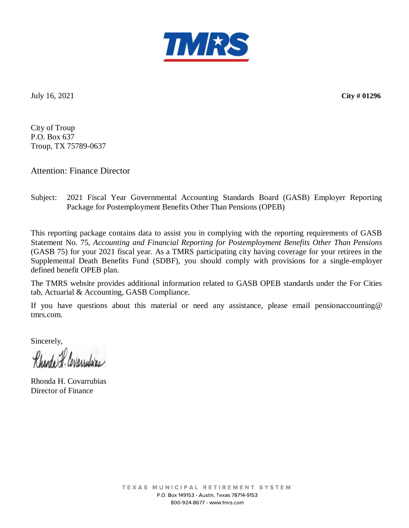

July 16, 2021 **City # 01296**

City of Troup P.O. Box 637 Troup, TX 75789-0637

Attention: Finance Director

## Subject: 2021 Fiscal Year Governmental Accounting Standards Board (GASB) Employer Reporting Package for Postemployment Benefits Other Than Pensions (OPEB)

This reporting package contains data to assist you in complying with the reporting requirements of GASB Statement No. 75, *Accounting and Financial Reporting for Postemployment Benefits Other Than Pensions*  (GASB 75) for your 2021 fiscal year. As a TMRS participating city having coverage for your retirees in the Supplemental Death Benefits Fund (SDBF), you should comply with provisions for a single-employer defined benefit OPEB plan.

The TMRS website provides additional information related to GASB OPEB standards under the For Cities tab, Actuarial & Accounting, GASB Compliance.

If you have questions about this material or need any assistance, please email pensionaccounting@ tmrs.com.

Sincerely,

Rhanda I. Covarrulaias

Rhonda H. Covarrubias Director of Finance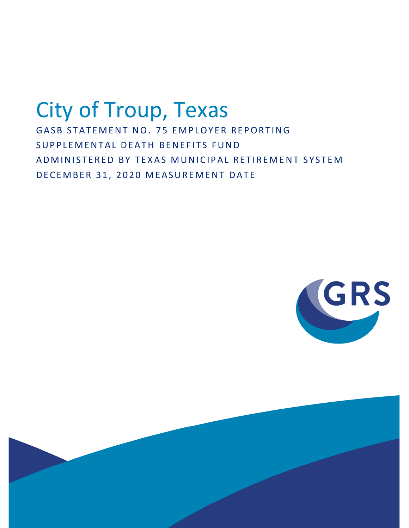# City of Troup, Texas GASB STATEMENT NO. 75 EMPLOYER REPORTING SUPPLEMENTAL DEATH BENEFITS FUND AD MINISTERED BY TEXAS MUNICIPAL RETIREMENT SYSTEM

DECEMBER 31, 2020 MEASUREMENT DATE



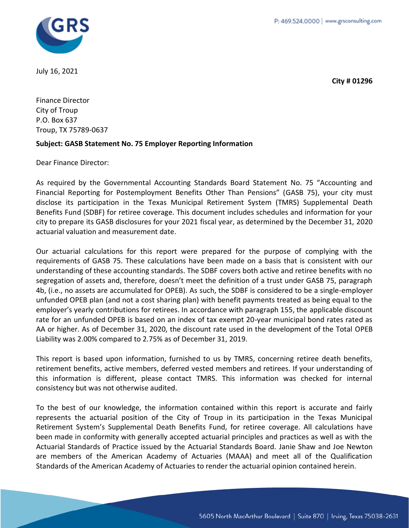

July 16, 2021

**City # 01296**

Finance Director City of Troup P.O. Box 637 Troup, TX 75789-0637

## **Subject: GASB Statement No. 75 Employer Reporting Information**

Dear Finance Director:

As required by the Governmental Accounting Standards Board Statement No. 75 "Accounting and Financial Reporting for Postemployment Benefits Other Than Pensions" (GASB 75), your city must disclose its participation in the Texas Municipal Retirement System (TMRS) Supplemental Death Benefits Fund (SDBF) for retiree coverage. This document includes schedules and information for your city to prepare its GASB disclosures for your 2021 fiscal year, as determined by the December 31, 2020 actuarial valuation and measurement date.

Our actuarial calculations for this report were prepared for the purpose of complying with the requirements of GASB 75. These calculations have been made on a basis that is consistent with our understanding of these accounting standards. The SDBF covers both active and retiree benefits with no segregation of assets and, therefore, doesn't meet the definition of a trust under GASB 75, paragraph 4b, (i.e., no assets are accumulated for OPEB). As such, the SDBF is considered to be a single-employer unfunded OPEB plan (and not a cost sharing plan) with benefit payments treated as being equal to the employer's yearly contributions for retirees. In accordance with paragraph 155, the applicable discount rate for an unfunded OPEB is based on an index of tax exempt 20-year municipal bond rates rated as AA or higher. As of December 31, 2020, the discount rate used in the development of the Total OPEB Liability was 2.00% compared to 2.75% as of December 31, 2019.

This report is based upon information, furnished to us by TMRS, concerning retiree death benefits, retirement benefits, active members, deferred vested members and retirees. If your understanding of this information is different, please contact TMRS. This information was checked for internal consistency but was not otherwise audited.

To the best of our knowledge, the information contained within this report is accurate and fairly represents the actuarial position of the City of Troup in its participation in the Texas Municipal Retirement System's Supplemental Death Benefits Fund, for retiree coverage. All calculations have been made in conformity with generally accepted actuarial principles and practices as well as with the Actuarial Standards of Practice issued by the Actuarial Standards Board. Janie Shaw and Joe Newton are members of the American Academy of Actuaries (MAAA) and meet all of the Qualification Standards of the American Academy of Actuaries to render the actuarial opinion contained herein.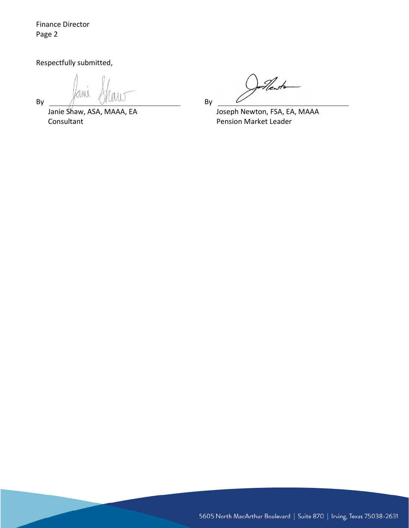Finance Director Page 2

Respectfully submitted,

MU  $By \tM$   $M$   $M$ 

Janie Shaw, ASA, MAAA, EA Joseph Newton, FSA, EA, MAAA Consultant **Consultant Pension Market Leader** 

21e str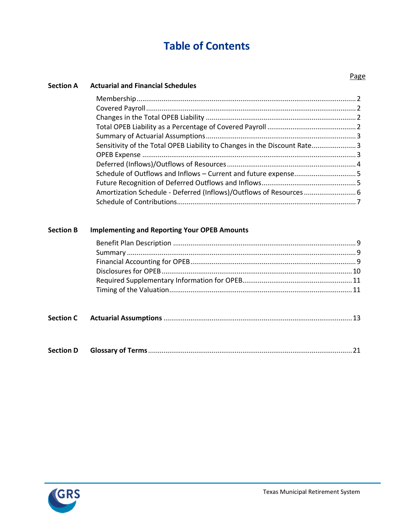## **Table of Contents**

| Sensitivity of the Total OPEB Liability to Changes in the Discount Rate3 |  |
|--------------------------------------------------------------------------|--|
|                                                                          |  |
|                                                                          |  |
|                                                                          |  |
|                                                                          |  |
|                                                                          |  |
|                                                                          |  |

## **Section B Implementing and Reporting Your OPEB Amounts**

|--|--|--|--|

|--|--|--|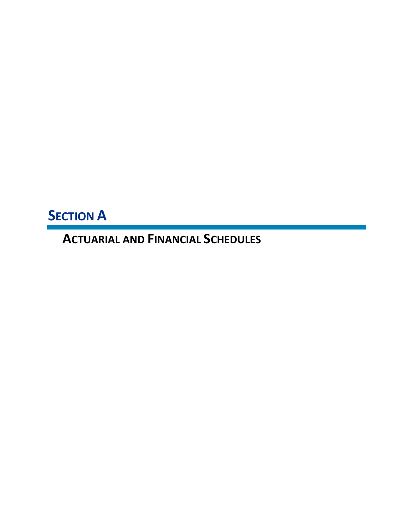**SECTION A** 

**ACTUARIAL AND FINANCIAL SCHEDULES**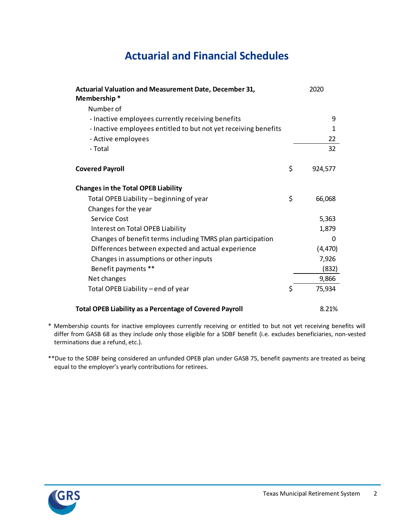## **Actuarial and Financial Schedules**

| Actuarial Valuation and Measurement Date, December 31,<br>Membership* | 2020          |
|-----------------------------------------------------------------------|---------------|
| Number of                                                             |               |
| - Inactive employees currently receiving benefits                     | 9             |
| - Inactive employees entitled to but not yet receiving benefits       | 1             |
| - Active employees                                                    | 22            |
| - Total                                                               | 32            |
| <b>Covered Payroll</b>                                                | \$<br>924,577 |
| <b>Changes in the Total OPEB Liability</b>                            |               |
| Total OPEB Liability - beginning of year                              | \$<br>66,068  |
| Changes for the year                                                  |               |
| Service Cost                                                          | 5,363         |
| Interest on Total OPEB Liability                                      | 1,879         |
| Changes of benefit terms including TMRS plan participation            | 0             |
| Differences between expected and actual experience                    | (4, 470)      |
| Changes in assumptions or other inputs                                | 7,926         |
| Benefit payments **                                                   | (832)         |
| Net changes                                                           | 9,866         |
| Total OPEB Liability – end of year                                    | 75,934        |
| <b>Total OPEB Liability as a Percentage of Covered Payroll</b>        | 8.21%         |

- \* Membership counts for inactive employees currently receiving or entitled to but not yet receiving benefits will differ from GASB 68 as they include only those eligible for a SDBF benefit (i.e. excludes beneficiaries, non-vested terminations due a refund, etc.).
- \*\*Due to the SDBF being considered an unfunded OPEB plan under GASB 75, benefit payments are treated as being equal to the employer's yearly contributions for retirees.

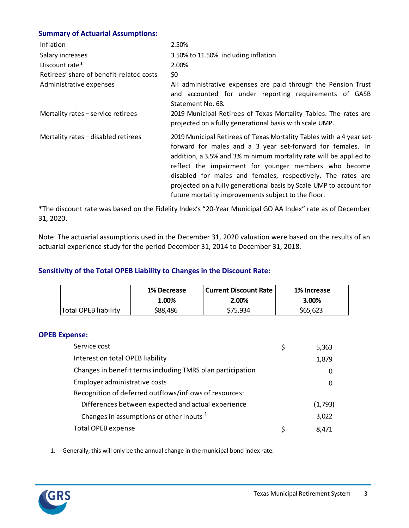## **Summary of Actuarial Assumptions:**

| Inflation                                | 2.50%                                                                                                                                                                                                                                                                                                                                                                                                                                                         |
|------------------------------------------|---------------------------------------------------------------------------------------------------------------------------------------------------------------------------------------------------------------------------------------------------------------------------------------------------------------------------------------------------------------------------------------------------------------------------------------------------------------|
| Salary increases                         | 3.50% to 11.50% including inflation                                                                                                                                                                                                                                                                                                                                                                                                                           |
| Discount rate*                           | 2.00%                                                                                                                                                                                                                                                                                                                                                                                                                                                         |
| Retirees' share of benefit-related costs | \$0                                                                                                                                                                                                                                                                                                                                                                                                                                                           |
| Administrative expenses                  | All administrative expenses are paid through the Pension Trust<br>and accounted for under reporting requirements of GASB<br>Statement No. 68.                                                                                                                                                                                                                                                                                                                 |
| Mortality rates - service retirees       | 2019 Municipal Retirees of Texas Mortality Tables. The rates are<br>projected on a fully generational basis with scale UMP.                                                                                                                                                                                                                                                                                                                                   |
| Mortality rates - disabled retirees      | 2019 Municipal Retirees of Texas Mortality Tables with a 4 year set-<br>forward for males and a 3 year set-forward for females. In<br>addition, a 3.5% and 3% minimum mortality rate will be applied to<br>reflect the impairment for younger members who become<br>disabled for males and females, respectively. The rates are<br>projected on a fully generational basis by Scale UMP to account for<br>future mortality improvements subject to the floor. |

\*The discount rate was based on the Fidelity Index's "20-Year Municipal GO AA Index" rate as of December 31, 2020.

Note: The actuarial assumptions used in the December 31, 2020 valuation were based on the results of an actuarial experience study for the period December 31, 2014 to December 31, 2018.

## **Sensitivity of the Total OPEB Liability to Changes in the Discount Rate:**

|                      | 1% Decrease | Current Discount Rate | 1% Increase |
|----------------------|-------------|-----------------------|-------------|
|                      | 1.00%       | 2.00%                 | 3.00%       |
| Total OPEB liability | S88.486     | \$75,934              | \$65,623    |

#### **OPEB Expense:**

| Service cost                                               | 5,363   |
|------------------------------------------------------------|---------|
| Interest on total OPEB liability                           | 1,879   |
| Changes in benefit terms including TMRS plan participation | 0       |
| Employer administrative costs                              | 0       |
| Recognition of deferred outflows/inflows of resources:     |         |
| Differences between expected and actual experience         | (1,793) |
| Changes in assumptions or other inputs <sup>1</sup>        | 3,022   |
| <b>Total OPEB expense</b>                                  | 8.471   |

1. Generally, this will only be the annual change in the municipal bond index rate.

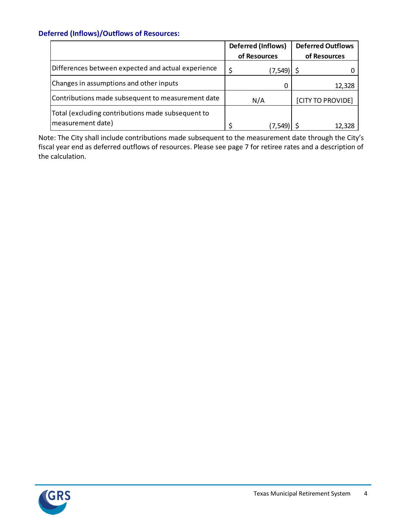## **Deferred (Inflows)/Outflows of Resources:**

|                                                                        | <b>Deferred (Inflows)</b> |          | <b>Deferred Outflows</b> |                   |  |  |
|------------------------------------------------------------------------|---------------------------|----------|--------------------------|-------------------|--|--|
|                                                                        | of Resources              |          | of Resources             |                   |  |  |
| Differences between expected and actual experience                     |                           | (7, 549) |                          |                   |  |  |
| Changes in assumptions and other inputs                                |                           |          |                          | 12,328            |  |  |
| Contributions made subsequent to measurement date                      | N/A                       |          |                          | [CITY TO PROVIDE] |  |  |
| Total (excluding contributions made subsequent to<br>measurement date) |                           | (7, 549) |                          | 12.328            |  |  |

Note: The City shall include contributions made subsequent to the measurement date through the City's fiscal year end as deferred outflows of resources. Please see page 7 for retiree rates and a description of the calculation.

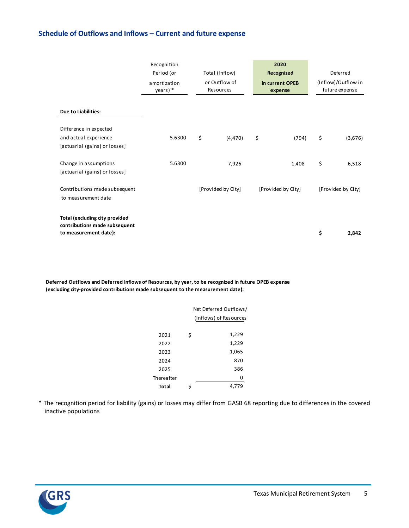## **Schedule of Outflows and Inflows – Current and future expense**

|                                                                                          | Recognition              |                            | 2020                       |                                       |                    |  |  |
|------------------------------------------------------------------------------------------|--------------------------|----------------------------|----------------------------|---------------------------------------|--------------------|--|--|
|                                                                                          | Period (or               | Total (Inflow)             | Recognized                 | Deferred                              |                    |  |  |
|                                                                                          | amortization<br>years) * | or Outflow of<br>Resources | in current OPEB<br>expense | (Inflow)/Outflow in<br>future expense |                    |  |  |
| <b>Due to Liabilities:</b>                                                               |                          |                            |                            |                                       |                    |  |  |
| Difference in expected                                                                   |                          |                            |                            |                                       |                    |  |  |
| and actual experience                                                                    | 5.6300                   | \$<br>(4, 470)             | \$<br>(794)                | \$                                    | (3,676)            |  |  |
| [actuarial (gains) or losses]                                                            |                          |                            |                            |                                       |                    |  |  |
| Change in assumptions                                                                    | 5.6300                   | 7,926                      | 1,408                      | \$                                    | 6,518              |  |  |
| [actuarial (gains) or losses]                                                            |                          |                            |                            |                                       |                    |  |  |
| Contributions made subsequent<br>to measurement date                                     |                          | [Provided by City]         | [Provided by City]         |                                       | [Provided by City] |  |  |
| Total (excluding city provided<br>contributions made subsequent<br>to measurement date): |                          |                            |                            | \$                                    | 2,842              |  |  |

**Deferred Outflows and Deferred Inflows of Resources, by year, to be recognized in future OPEB expense (excluding city-provided contributions made subsequent to the measurement date):**

| Net Deferred Outflows/<br>(Inflows) of Resources |
|--------------------------------------------------|
|                                                  |
| 1,229                                            |
| 1,229                                            |
| 1,065                                            |
| 870                                              |
| 386                                              |
| 0                                                |
| 79<br>4,7                                        |
|                                                  |

\* The recognition period for liability (gains) or losses may differ from GASB 68 reporting due to differences in the covered inactive populations

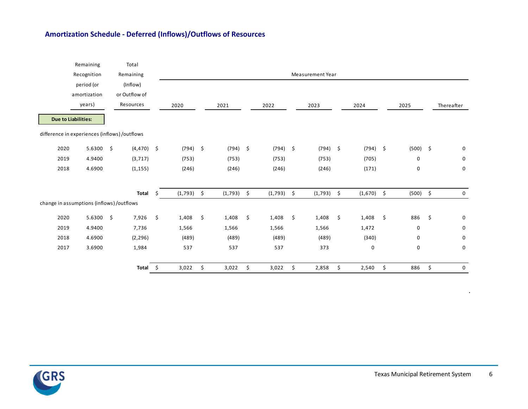## **Amortization Schedule - Deferred (Inflows)/Outflows of Resources**

|      | Remaining                                     | Total         |              |    |            |               |                    |                  |              |            |     |            |
|------|-----------------------------------------------|---------------|--------------|----|------------|---------------|--------------------|------------------|--------------|------------|-----|------------|
|      | Recognition                                   | Remaining     |              |    |            |               |                    | Measurement Year |              |            |     |            |
|      | period (or                                    | (Inflow)      |              |    |            |               |                    |                  |              |            |     |            |
|      | amortization                                  | or Outflow of |              |    |            |               |                    |                  |              |            |     |            |
|      | years)                                        | Resources     |              |    | 2020       | 2021          | 2022               | 2023             | 2024         | 2025       |     | Thereafter |
|      | <b>Due to Liabilities:</b>                    |               |              |    |            |               |                    |                  |              |            |     |            |
|      | difference in experiences (inflows) /outflows |               |              |    |            |               |                    |                  |              |            |     |            |
| 2020 | 5.6300                                        | \$            | $(4,470)$ \$ |    | $(794)$ \$ | $(794)$ \$    | $(794)$ \$         | $(794)$ \$       | $(794)$ \$   | $(500)$ \$ |     | 0          |
| 2019 | 4.9400                                        | (3, 717)      |              |    | (753)      | (753)         | (753)              | (753)            | (705)        | 0          |     | 0          |
| 2018 | 4.6900                                        | (1, 155)      |              |    | (246)      | (246)         | (246)              | (246)            | (171)        | 0          |     | 0          |
|      |                                               |               | Total        | Ŝ. | (1, 793)   | \$<br>(1,793) | \$<br>$(1,793)$ \$ | $(1,793)$ \$     | $(1,670)$ \$ | $(500)$ \$ |     | 0          |
|      | change in assumptions (inflows) /outflows     |               |              |    |            |               |                    |                  |              |            |     |            |
| 2020 | 5.6300                                        | -\$           | 7,926        | \$ | 1,408      | \$<br>1,408   | \$<br>1,408        | \$<br>1,408      | \$<br>1,408  | \$<br>886  | -\$ | 0          |
| 2019 | 4.9400                                        |               | 7,736        |    | 1,566      | 1,566         | 1,566              | 1,566            | 1,472        | 0          |     | 0          |
| 2018 | 4.6900                                        |               | (2, 296)     |    | (489)      | (489)         | (489)              | (489)            | (340)        | 0          |     | 0          |
| 2017 | 3.6900                                        |               | 1,984        |    | 537        | 537           | 537                | 373              | 0            | 0          |     | 0          |
|      |                                               |               | Total        | \$ | 3,022      | \$<br>3,022   | \$<br>3,022        | \$<br>2,858      | \$<br>2,540  | \$<br>886  | \$  | 0          |



.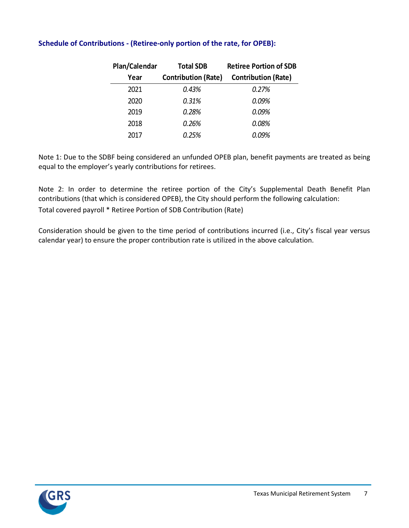| Plan/Calendar | <b>Total SDB</b>           | <b>Retiree Portion of SDB</b> |
|---------------|----------------------------|-------------------------------|
| Year          | <b>Contribution (Rate)</b> | <b>Contribution (Rate)</b>    |
| 2021          | 0.43%                      | 0.27%                         |
| 2020          | 0.31%                      | 0.09%                         |
| 2019          | 0.28%                      | 0.09%                         |
| 2018          | 0.26%                      | 0.08%                         |
| 2017          | 0.25%                      | 0.09%                         |

## **Schedule of Contributions - (Retiree-only portion of the rate, for OPEB):**

Note 1: Due to the SDBF being considered an unfunded OPEB plan, benefit payments are treated as being equal to the employer's yearly contributions for retirees.

Note 2: In order to determine the retiree portion of the City's Supplemental Death Benefit Plan contributions (that which is considered OPEB), the City should perform the following calculation: Total covered payroll \* Retiree Portion of SDB Contribution (Rate)

Consideration should be given to the time period of contributions incurred (i.e., City's fiscal year versus calendar year) to ensure the proper contribution rate is utilized in the above calculation.

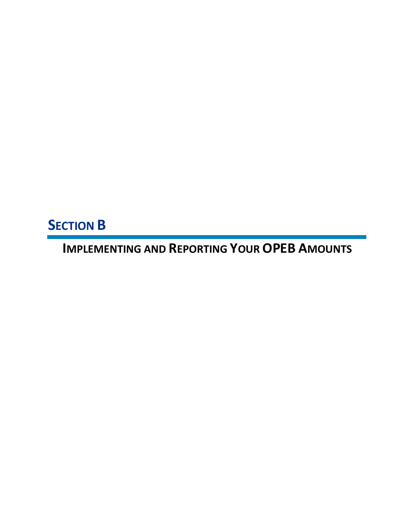**SECTION B**

**IMPLEMENTING AND REPORTING YOUR OPEB AMOUNTS**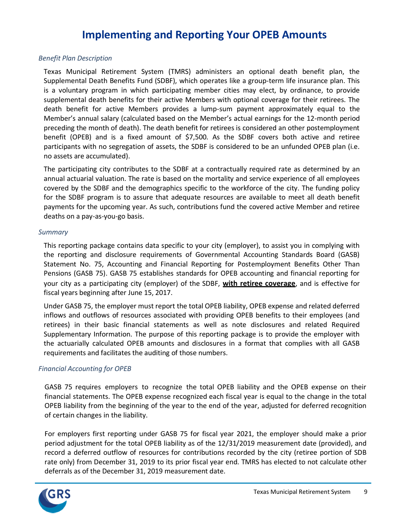## **Implementing and Reporting Your OPEB Amounts**

#### *Benefit Plan Description*

Texas Municipal Retirement System (TMRS) administers an optional death benefit plan, the Supplemental Death Benefits Fund (SDBF), which operates like a group-term life insurance plan. This is a voluntary program in which participating member cities may elect, by ordinance, to provide supplemental death benefits for their active Members with optional coverage for their retirees. The death benefit for active Members provides a lump-sum payment approximately equal to the Member's annual salary (calculated based on the Member's actual earnings for the 12-month period preceding the month of death). The death benefit for retirees is considered an other postemployment benefit (OPEB) and is a fixed amount of \$7,500. As the SDBF covers both active and retiree participants with no segregation of assets, the SDBF is considered to be an unfunded OPEB plan (i.e. no assets are accumulated).

The participating city contributes to the SDBF at a contractually required rate as determined by an annual actuarial valuation. The rate is based on the mortality and service experience of all employees covered by the SDBF and the demographics specific to the workforce of the city. The funding policy for the SDBF program is to assure that adequate resources are available to meet all death benefit payments for the upcoming year. As such, contributions fund the covered active Member and retiree deaths on a pay-as-you-go basis.

#### *Summary*

This reporting package contains data specific to your city (employer), to assist you in complying with the reporting and disclosure requirements of Governmental Accounting Standards Board (GASB) Statement No. 75, Accounting and Financial Reporting for Postemployment Benefits Other Than Pensions (GASB 75). GASB 75 establishes standards for OPEB accounting and financial reporting for your city as a participating city (employer) of the SDBF, **with retiree coverage**, and is effective for fiscal years beginning after June 15, 2017.

Under GASB 75, the employer must report the total OPEB liability, OPEB expense and related deferred inflows and outflows of resources associated with providing OPEB benefits to their employees (and retirees) in their basic financial statements as well as note disclosures and related Required Supplementary Information. The purpose of this reporting package is to provide the employer with the actuarially calculated OPEB amounts and disclosures in a format that complies with all GASB requirements and facilitates the auditing of those numbers.

#### *Financial Accounting for OPEB*

GASB 75 requires employers to recognize the total OPEB liability and the OPEB expense on their financial statements. The OPEB expense recognized each fiscal year is equal to the change in the total OPEB liability from the beginning of the year to the end of the year, adjusted for deferred recognition of certain changes in the liability.

For employers first reporting under GASB 75 for fiscal year 2021, the employer should make a prior period adjustment for the total OPEB liability as of the 12/31/2019 measurement date (provided), and record a deferred outflow of resources for contributions recorded by the city (retiree portion of SDB rate only) from December 31, 2019 to its prior fiscal year end. TMRS has elected to not calculate other deferrals as of the December 31, 2019 measurement date.

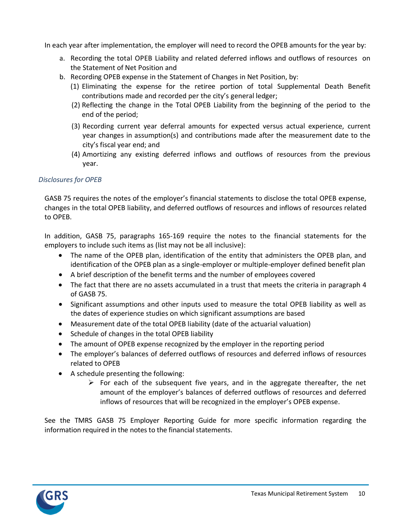In each year after implementation, the employer will need to record the OPEB amounts for the year by:

- a. Recording the total OPEB Liability and related deferred inflows and outflows of resources on the Statement of Net Position and
- b. Recording OPEB expense in the Statement of Changes in Net Position, by:
	- (1) Eliminating the expense for the retiree portion of total Supplemental Death Benefit contributions made and recorded per the city's general ledger;
	- (2) Reflecting the change in the Total OPEB Liability from the beginning of the period to the end of the period;
	- (3) Recording current year deferral amounts for expected versus actual experience, current year changes in assumption(s) and contributions made after the measurement date to the city's fiscal year end; and
	- (4) Amortizing any existing deferred inflows and outflows of resources from the previous year.

## *Disclosures for OPEB*

GASB 75 requires the notes of the employer's financial statements to disclose the total OPEB expense, changes in the total OPEB liability, and deferred outflows of resources and inflows of resources related to OPEB.

In addition, GASB 75, paragraphs 165-169 require the notes to the financial statements for the employers to include such items as (list may not be all inclusive):

- The name of the OPEB plan, identification of the entity that administers the OPEB plan, and identification of the OPEB plan as a single-employer or multiple-employer defined benefit plan
- A brief description of the benefit terms and the number of employees covered
- The fact that there are no assets accumulated in a trust that meets the criteria in paragraph 4 of GASB 75.
- Significant assumptions and other inputs used to measure the total OPEB liability as well as the dates of experience studies on which significant assumptions are based
- Measurement date of the total OPEB liability (date of the actuarial valuation)
- Schedule of changes in the total OPEB liability
- The amount of OPEB expense recognized by the employer in the reporting period
- The employer's balances of deferred outflows of resources and deferred inflows of resources related to OPEB
- A schedule presenting the following:
	- $\triangleright$  For each of the subsequent five years, and in the aggregate thereafter, the net amount of the employer's balances of deferred outflows of resources and deferred inflows of resources that will be recognized in the employer's OPEB expense.

See the TMRS GASB 75 Employer Reporting Guide for more specific information regarding the information required in the notes to the financial statements.

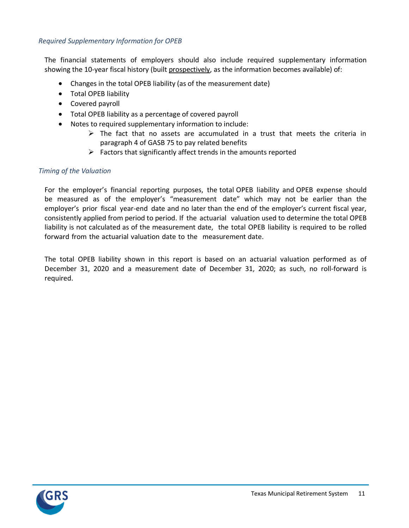### *Required Supplementary Information for OPEB*

The financial statements of employers should also include required supplementary information showing the 10-year fiscal history (built prospectively, as the information becomes available) of:

- Changes in the total OPEB liability (as of the measurement date)
- Total OPEB liability
- Covered payroll
- Total OPEB liability as a percentage of covered payroll
- Notes to required supplementary information to include:
	- $\triangleright$  The fact that no assets are accumulated in a trust that meets the criteria in paragraph 4 of GASB 75 to pay related benefits
	- $\triangleright$  Factors that significantly affect trends in the amounts reported

#### *Timing of the Valuation*

For the employer's financial reporting purposes, the total OPEB liability and OPEB expense should be measured as of the employer's "measurement date" which may not be earlier than the employer's prior fiscal year-end date and no later than the end of the employer's current fiscal year, consistently applied from period to period. If the actuarial valuation used to determine the total OPEB liability is not calculated as of the measurement date, the total OPEB liability is required to be rolled forward from the actuarial valuation date to the measurement date.

The total OPEB liability shown in this report is based on an actuarial valuation performed as of December 31, 2020 and a measurement date of December 31, 2020; as such, no roll-forward is required.

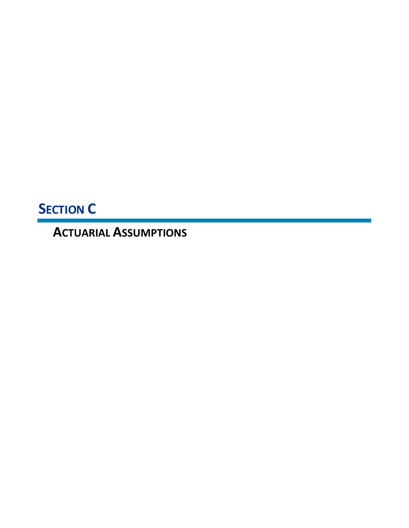**SECTION C**

**ACTUARIAL ASSUMPTIONS**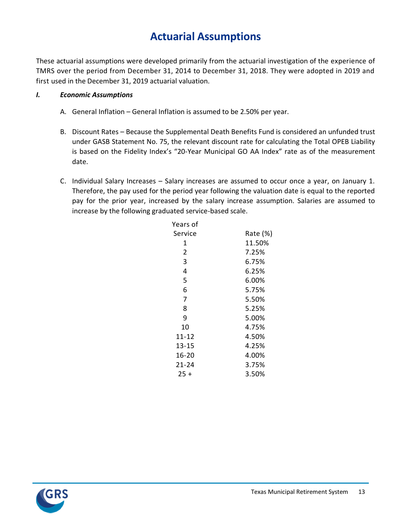## **Actuarial Assumptions**

These actuarial assumptions were developed primarily from the actuarial investigation of the experience of TMRS over the period from December 31, 2014 to December 31, 2018. They were adopted in 2019 and first used in the December 31, 2019 actuarial valuation.

## *I. Economic Assumptions*

- A. General Inflation General Inflation is assumed to be 2.50% per year.
- B. Discount Rates Because the Supplemental Death Benefits Fund is considered an unfunded trust under GASB Statement No. 75, the relevant discount rate for calculating the Total OPEB Liability is based on the Fidelity Index's "20-Year Municipal GO AA Index" rate as of the measurement date.
- C. Individual Salary Increases Salary increases are assumed to occur once a year, on January 1. Therefore, the pay used for the period year following the valuation date is equal to the reported pay for the prior year, increased by the salary increase assumption. Salaries are assumed to increase by the following graduated service-based scale.

| Years of       |          |
|----------------|----------|
| Service        | Rate (%) |
| 1              | 11.50%   |
| $\overline{2}$ | 7.25%    |
| 3              | 6.75%    |
| 4              | 6.25%    |
| 5              | 6.00%    |
| 6              | 5.75%    |
| 7              | 5.50%    |
| 8              | 5.25%    |
| 9              | 5.00%    |
| 10             | 4.75%    |
| 11-12          | 4.50%    |
| 13-15          | 4.25%    |
| 16-20          | 4.00%    |
| 21-24          | 3.75%    |
| $25 +$         | 3.50%    |
|                |          |

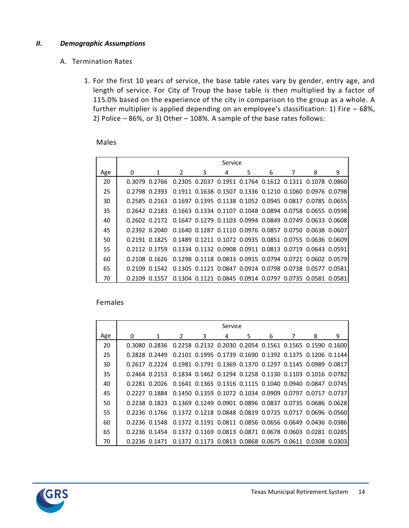#### *II. Demographic Assumptions*

### A. Termination Rates

1. For the first 10 years of service, the base table rates vary by gender, entry age, and length of service. For City of Troup the base table is then multiplied by a factor of 115.0% based on the experience of the city in comparison to the group as a whole. A further multiplier is applied depending on an employee's classification: 1) Fire – 68%, 2) Police – 86%, or 3) Other – 108%. A sample of the base rates follows:

#### Males

|     |   |               |               |   | Service |   |   |                                                         |   |
|-----|---|---------------|---------------|---|---------|---|---|---------------------------------------------------------|---|
| Age | 0 |               | $\mathcal{P}$ | 3 | 4       | 5 | 6 | 8                                                       | 9 |
| 20  |   | 0.3079 0.2766 |               |   |         |   |   | 0.2305 0.2037 0.1951 0.1764 0.1612 0.1311 0.1078 0.0860 |   |
| 25  |   | 0.2798 0.2393 |               |   |         |   |   | 0.1911 0.1638 0.1507 0.1336 0.1210 0.1060 0.0976 0.0798 |   |
| 30  |   | 0.2585 0.2163 |               |   |         |   |   | 0.1697 0.1395 0.1138 0.1052 0.0945 0.0817 0.0785 0.0655 |   |
| 35  |   | 0.2642 0.2183 |               |   |         |   |   | 0.1663 0.1334 0.1107 0.1048 0.0894 0.0758 0.0655 0.0598 |   |
| 40  |   | 0.2602 0.2172 |               |   |         |   |   | 0.1647 0.1279 0.1103 0.0994 0.0849 0.0749 0.0633 0.0608 |   |
| 45  |   | 0.2392 0.2040 |               |   |         |   |   | 0.1640 0.1287 0.1110 0.0976 0.0857 0.0750 0.0638 0.0607 |   |
| 50  |   | 0.2191 0.1825 |               |   |         |   |   | 0.1489 0.1211 0.1072 0.0935 0.0851 0.0755 0.0636 0.0609 |   |
| 55  |   | 0.2112 0.1759 |               |   |         |   |   | 0.1334 0.1132 0.0908 0.0911 0.0813 0.0719 0.0643 0.0591 |   |
| 60  |   | 0.2108 0.1626 |               |   |         |   |   | 0.1298 0.1118 0.0833 0.0915 0.0794 0.0721 0.0602 0.0579 |   |
| 65  |   | 0.2109 0.1542 |               |   |         |   |   | 0.1305 0.1121 0.0847 0.0914 0.0798 0.0738 0.0577 0.0581 |   |
| 70  |   | 0.2109 0.1557 |               |   |         |   |   | 0.1304 0.1121 0.0845 0.0914 0.0797 0.0735 0.0581 0.0581 |   |

#### Females

|     |   |                                                                       |                                                                        |   | Service |    |   |                                                         |   |
|-----|---|-----------------------------------------------------------------------|------------------------------------------------------------------------|---|---------|----|---|---------------------------------------------------------|---|
| Age | 0 | 1                                                                     | $\mathcal{L}$                                                          | 3 | 4       | 5. | 6 | 8                                                       | 9 |
| 20  |   | 0.3080 0.2836 0.2258 0.2132 0.2030 0.2054 0.1561 0.1565 0.1590 0.1600 |                                                                        |   |         |    |   |                                                         |   |
| 25  |   | 0.2828 0.2449                                                         |                                                                        |   |         |    |   | 0.2101 0.1995 0.1739 0.1690 0.1392 0.1375 0.1206 0.1144 |   |
| 30  |   | 0.2617 0.2224                                                         |                                                                        |   |         |    |   | 0.1981 0.1791 0.1369 0.1370 0.1297 0.1145 0.0989 0.0817 |   |
| 35  |   | 0.2464 0.2153 0.1834 0.1462 0.1294 0.1258 0.1130 0.1103 0.1016 0.0782 |                                                                        |   |         |    |   |                                                         |   |
| 40  |   | 0.2281 0.2026 0.1641 0.1365 0.1316 0.1115 0.1040 0.0940 0.0847 0.0745 |                                                                        |   |         |    |   |                                                         |   |
| 45  |   | 0.2227 0.1884 0.1450 0.1359 0.1072 0.1034 0.0909 0.0797 0.0717 0.0737 |                                                                        |   |         |    |   |                                                         |   |
| 50  |   | 0.2238 0.1823 0.1369 0.1249 0.0901 0.0896 0.0837 0.0735 0.0686 0.0628 |                                                                        |   |         |    |   |                                                         |   |
| 55  |   | 0.2236 0.1766 0.1372 0.1218 0.0848 0.0819 0.0725 0.0717 0.0696 0.0560 |                                                                        |   |         |    |   |                                                         |   |
| 60  |   | 0.2236 0.1548 0.1372 0.1191 0.0811 0.0856 0.0656 0.0649 0.0436 0.0386 |                                                                        |   |         |    |   |                                                         |   |
| 65  |   | 0.2236 0.1454 0.1372 0.1169 0.0813 0.0871 0.0678 0.0603 0.0281 0.0285 |                                                                        |   |         |    |   |                                                         |   |
| 70  |   | 0.2236 0.1471                                                         | 0.1372   0.1173   0.0813   0.0868   0.0675   0.0611   0.0308   0.03031 |   |         |    |   |                                                         |   |

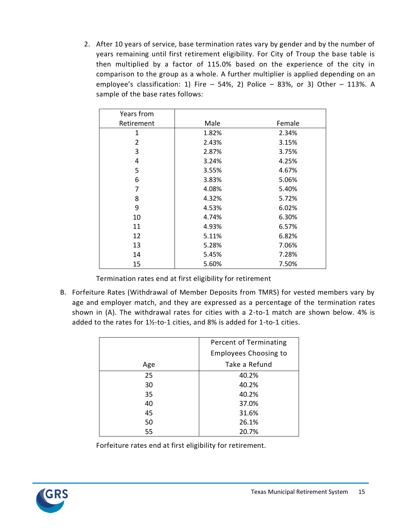2. After 10 years of service, base termination rates vary by gender and by the number of years remaining until first retirement eligibility. For City of Troup the base table is then multiplied by a factor of 115.0% based on the experience of the city in comparison to the group as a whole. A further multiplier is applied depending on an employee's classification: 1) Fire  $-$  54%, 2) Police  $-$  83%, or 3) Other  $-$  113%. A sample of the base rates follows:

| Years from |       |        |
|------------|-------|--------|
| Retirement | Male  | Female |
| 1          | 1.82% | 2.34%  |
| 2          | 2.43% | 3.15%  |
| 3          | 2.87% | 3.75%  |
| 4          | 3.24% | 4.25%  |
| 5          | 3.55% | 4.67%  |
| 6          | 3.83% | 5.06%  |
| 7          | 4.08% | 5.40%  |
| 8          | 4.32% | 5.72%  |
| 9          | 4.53% | 6.02%  |
| 10         | 4.74% | 6.30%  |
| 11         | 4.93% | 6.57%  |
| 12         | 5.11% | 6.82%  |
| 13         | 5.28% | 7.06%  |
| 14         | 5.45% | 7.28%  |
| 15         | 5.60% | 7.50%  |

Termination rates end at first eligibility for retirement

B. Forfeiture Rates (Withdrawal of Member Deposits from TMRS) for vested members vary by age and employer match, and they are expressed as a percentage of the termination rates shown in (A). The withdrawal rates for cities with a 2-to-1 match are shown below. 4% is added to the rates for 1½-to-1 cities, and 8% is added for 1-to-1 cities.

|     | Percent of Terminating       |
|-----|------------------------------|
|     | <b>Employees Choosing to</b> |
| Age | Take a Refund                |
| 25  | 40.2%                        |
| 30  | 40.2%                        |
| 35  | 40.2%                        |
| 40  | 37.0%                        |
| 45  | 31.6%                        |
| 50  | 26.1%                        |
| 55  | 20.7%                        |

Forfeiture rates end at first eligibility for retirement.

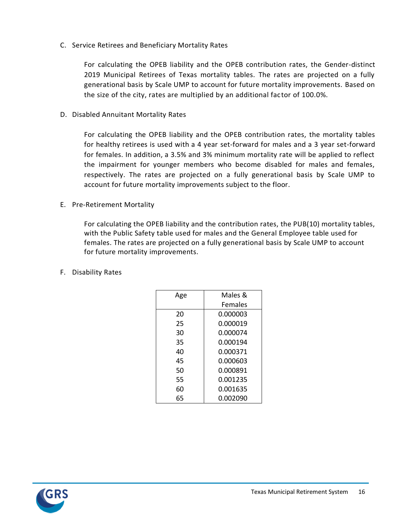C. Service Retirees and Beneficiary Mortality Rates

For calculating the OPEB liability and the OPEB contribution rates, the Gender-distinct 2019 Municipal Retirees of Texas mortality tables. The rates are projected on a fully generational basis by Scale UMP to account for future mortality improvements. Based on the size of the city, rates are multiplied by an additional factor of 100.0%.

D. Disabled Annuitant Mortality Rates

For calculating the OPEB liability and the OPEB contribution rates, the mortality tables for healthy retirees is used with a 4 year set-forward for males and a 3 year set-forward for females. In addition, a 3.5% and 3% minimum mortality rate will be applied to reflect the impairment for younger members who become disabled for males and females, respectively. The rates are projected on a fully generational basis by Scale UMP to account for future mortality improvements subject to the floor.

E. Pre-Retirement Mortality

For calculating the OPEB liability and the contribution rates, the PUB(10) mortality tables, with the Public Safety table used for males and the General Employee table used for females. The rates are projected on a fully generational basis by Scale UMP to account for future mortality improvements.

F. Disability Rates

| Age | Males &        |
|-----|----------------|
|     | <b>Females</b> |
| 20  | 0.000003       |
| 25  | 0.000019       |
| 30  | 0.000074       |
| 35  | 0.000194       |
| 40  | 0.000371       |
| 45  | 0.000603       |
| 50  | 0.000891       |
| 55  | 0.001235       |
| 60  | 0.001635       |
| 65  | 0.002090       |

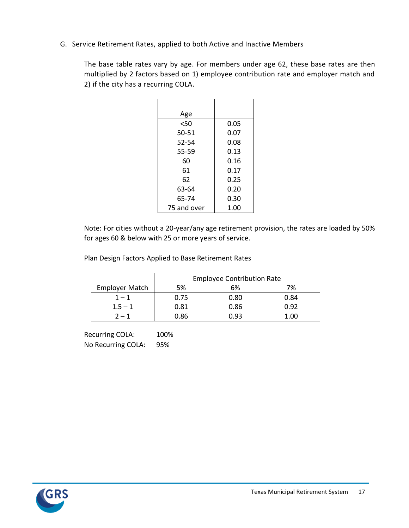G. Service Retirement Rates, applied to both Active and Inactive Members

The base table rates vary by age. For members under age 62, these base rates are then multiplied by 2 factors based on 1) employee contribution rate and employer match and 2) if the city has a recurring COLA.

| Age         |      |
|-------------|------|
| $50$        | 0.05 |
| 50-51       | 0.07 |
| 52-54       | 0.08 |
| 55-59       | 0.13 |
| 60          | 0.16 |
| 61          | 0.17 |
| 62          | 0.25 |
| 63-64       | 0.20 |
| 65-74       | 0.30 |
| 75 and over | 1.00 |

Note: For cities without a 20-year/any age retirement provision, the rates are loaded by 50% for ages 60 & below with 25 or more years of service.

Plan Design Factors Applied to Base Retirement Rates

|                       | <b>Employee Contribution Rate</b> |      |      |  |
|-----------------------|-----------------------------------|------|------|--|
| <b>Employer Match</b> | 5%                                | 6%   | 7%   |  |
| $1 - 1$               | 0.75                              | 0.80 | 0.84 |  |
| $1.5 - 1$             | 0.81                              | 0.86 | 0.92 |  |
| $2 - 1$               | 0.86                              | በ.ዓ3 | 1.00 |  |

Recurring COLA: 100% No Recurring COLA: 95%

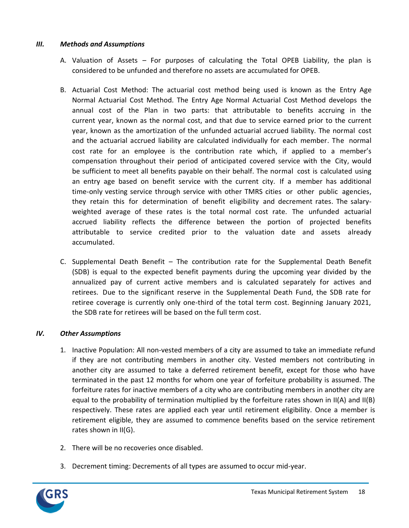## *III. Methods and Assumptions*

- A. Valuation of Assets For purposes of calculating the Total OPEB Liability, the plan is considered to be unfunded and therefore no assets are accumulated for OPEB.
- B. Actuarial Cost Method: The actuarial cost method being used is known as the Entry Age Normal Actuarial Cost Method. The Entry Age Normal Actuarial Cost Method develops the annual cost of the Plan in two parts: that attributable to benefits accruing in the current year, known as the normal cost, and that due to service earned prior to the current year, known as the amortization of the unfunded actuarial accrued liability. The normal cost and the actuarial accrued liability are calculated individually for each member. The normal cost rate for an employee is the contribution rate which, if applied to a member's compensation throughout their period of anticipated covered service with the City, would be sufficient to meet all benefits payable on their behalf. The normal cost is calculated using an entry age based on benefit service with the current city. If a member has additional time-only vesting service through service with other TMRS cities or other public agencies, they retain this for determination of benefit eligibility and decrement rates. The salaryweighted average of these rates is the total normal cost rate. The unfunded actuarial accrued liability reflects the difference between the portion of projected benefits attributable to service credited prior to the valuation date and assets already accumulated.
- C. Supplemental Death Benefit The contribution rate for the Supplemental Death Benefit (SDB) is equal to the expected benefit payments during the upcoming year divided by the annualized pay of current active members and is calculated separately for actives and retirees. Due to the significant reserve in the Supplemental Death Fund, the SDB rate for retiree coverage is currently only one-third of the total term cost. Beginning January 2021, the SDB rate for retirees will be based on the full term cost.

## *IV. Other Assumptions*

- 1. Inactive Population: All non-vested members of a city are assumed to take an immediate refund if they are not contributing members in another city. Vested members not contributing in another city are assumed to take a deferred retirement benefit, except for those who have terminated in the past 12 months for whom one year of forfeiture probability is assumed. The forfeiture rates for inactive members of a city who are contributing members in another city are equal to the probability of termination multiplied by the forfeiture rates shown in II(A) and II(B) respectively. These rates are applied each year until retirement eligibility. Once a member is retirement eligible, they are assumed to commence benefits based on the service retirement rates shown in II(G).
- 2. There will be no recoveries once disabled.
- 3. Decrement timing: Decrements of all types are assumed to occur mid-year.

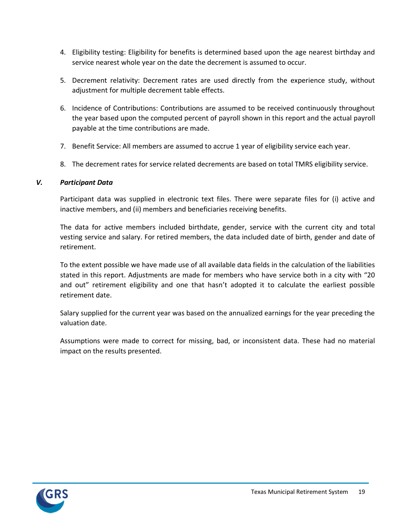- 4. Eligibility testing: Eligibility for benefits is determined based upon the age nearest birthday and service nearest whole year on the date the decrement is assumed to occur.
- 5. Decrement relativity: Decrement rates are used directly from the experience study, without adjustment for multiple decrement table effects.
- 6. Incidence of Contributions: Contributions are assumed to be received continuously throughout the year based upon the computed percent of payroll shown in this report and the actual payroll payable at the time contributions are made.
- 7. Benefit Service: All members are assumed to accrue 1 year of eligibility service each year.
- 8. The decrement rates for service related decrements are based on total TMRS eligibility service.

## *V. Participant Data*

Participant data was supplied in electronic text files. There were separate files for (i) active and inactive members, and (ii) members and beneficiaries receiving benefits.

The data for active members included birthdate, gender, service with the current city and total vesting service and salary. For retired members, the data included date of birth, gender and date of retirement.

To the extent possible we have made use of all available data fields in the calculation of the liabilities stated in this report. Adjustments are made for members who have service both in a city with "20 and out" retirement eligibility and one that hasn't adopted it to calculate the earliest possible retirement date.

Salary supplied for the current year was based on the annualized earnings for the year preceding the valuation date.

Assumptions were made to correct for missing, bad, or inconsistent data. These had no material impact on the results presented.

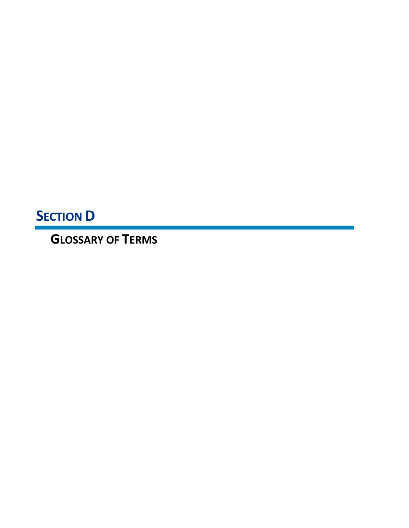**SECTION D**

**GLOSSARY OF TERMS**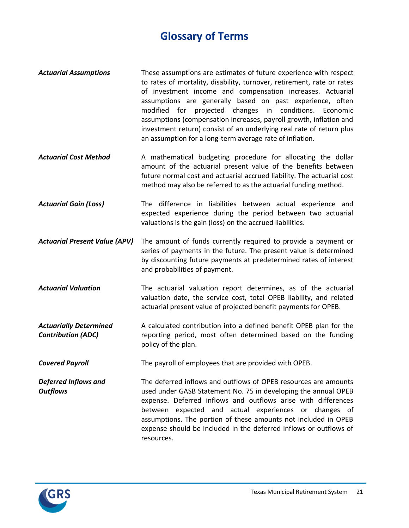## **Glossary of Terms**

- *Actuarial Assumptions* These assumptions are estimates of future experience with respect to rates of mortality, disability, turnover, retirement, rate or rates of investment income and compensation increases. Actuarial assumptions are generally based on past experience, often modified for projected changes in conditions. Economic assumptions (compensation increases, payroll growth, inflation and investment return) consist of an underlying real rate of return plus an assumption for a long-term average rate of inflation.
- *Actuarial Cost Method* A mathematical budgeting procedure for allocating the dollar amount of the actuarial present value of the benefits between future normal cost and actuarial accrued liability. The actuarial cost method may also be referred to as the actuarial funding method.
- *Actuarial Gain (Loss)* The difference in liabilities between actual experience and expected experience during the period between two actuarial valuations is the gain (loss) on the accrued liabilities.
- *Actuarial Present Value (APV)* The amount of funds currently required to provide a payment or series of payments in the future. The present value is determined by discounting future payments at predetermined rates of interest and probabilities of payment.
- *Actuarial Valuation* The actuarial valuation report determines, as of the actuarial valuation date, the service cost, total OPEB liability, and related actuarial present value of projected benefit payments for OPEB.
- *Actuarially Determined Contribution (ADC)* A calculated contribution into a defined benefit OPEB plan for the reporting period, most often determined based on the funding policy of the plan.
- **Covered Payroll** The payroll of employees that are provided with OPEB.
- *Deferred Inflows and Outflows* The deferred inflows and outflows of OPEB resources are amounts used under GASB Statement No. 75 in developing the annual OPEB expense. Deferred inflows and outflows arise with differences between expected and actual experiences or changes of assumptions. The portion of these amounts not included in OPEB expense should be included in the deferred inflows or outflows of resources.